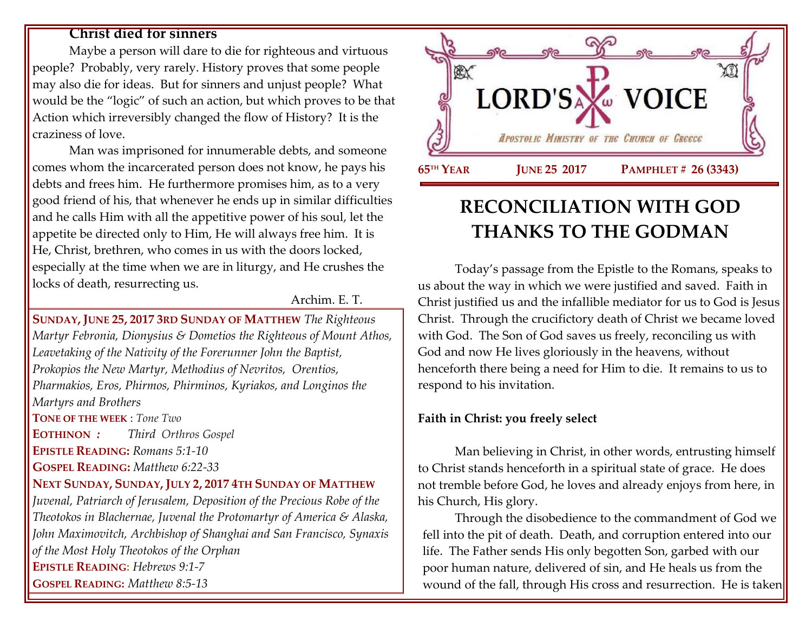#### **Christ died for sinners**

Maybe a person will dare to die for righteous and virtuous people? Probably, very rarely. History proves that some people may also die for ideas. But for sinners and unjust people? What would be the "logic" of such an action, but which proves to be that Action which irreversibly changed the flow of History? It is the craziness of love.

Man was imprisoned for innumerable debts, and someone comes whom the incarcerated person does not know, he pays his debts and frees him. He furthermore promises him, as to a very good friend of his, that whenever he ends up in similar difficulties and he calls Him with all the appetitive power of his soul, let the appetite be directed only to Him, He will always free him. It is He, Christ, brethren, who comes in us with the doors locked, especially at the time when we are in liturgy, and He crushes the locks of death, resurrecting us.

Archim. E. T.

**SUNDAY, JUNE 25, 2017 3RD SUNDAY OF MATTHEW** *The Righteous Martyr Febronia, Dionysius & Dometios the Righteous of Mount Athos, Leavetaking of the Nativity of the Forerunner John the Baptist, Prokopios the New Martyr, Methodius of Nevritos, Orentios, Pharmakios, Eros, Phirmos, Phirminos, Kyriakos, and Longinos the Martyrs and Brothers* **TONE OF THE WEEK** : *Tone Two* **EOTHINON** *: Third Orthros Gospel* **EPISTLE READING:** *Romans 5:1-10* **GOSPEL READING:** *Matthew 6:22-33* **NEXT SUNDAY, SUNDAY, JULY 2, 2017 4TH SUNDAY OF MATTHEW** *Juvenal, Patriarch of Jerusalem, Deposition of the Precious Robe of the Theotokos in Blachernae, Juvenal the Protomartyr of America & Alaska, John Maximovitch, Archbishop of Shanghai and San Francisco, Synaxis of the Most Holy Theotokos of the Orphan* **EPISTLE READING:** *[Hebrews 9:1-7](https://www.goarch.org/chapel/lectionary?type=epistle&code=27&event=940&date=5/28/2017)*  **GOSPEL READING:** *[Matthew 8:5-13](https://www.goarch.org/chapel/lectionary?type=gospel&code=43&event=940&date=5/28/2017)*



# **RECONCILIATION WITH GOD THANKS TO THE GODMAN**

Today's passage from the Epistle to the Romans, speaks to us about the way in which we were justified and saved. Faith in Christ justified us and the infallible mediator for us to God is Jesus Christ. Through the crucifictory death of Christ we became loved with God. The Son of God saves us freely, reconciling us with God and now He lives gloriously in the heavens, without henceforth there being a need for Him to die. It remains to us to respond to his invitation.

#### **Faith in Christ: you freely select**

Man believing in Christ, in other words, entrusting himself to Christ stands henceforth in a spiritual state of grace. He does not tremble before God, he loves and already enjoys from here, in his Church, His glory.

Through the disobedience to the commandment of God we fell into the pit of death. Death, and corruption entered into our life. The Father sends His only begotten Son, garbed with our poor human nature, delivered of sin, and He heals us from the wound of the fall, through His cross and resurrection. He is taken